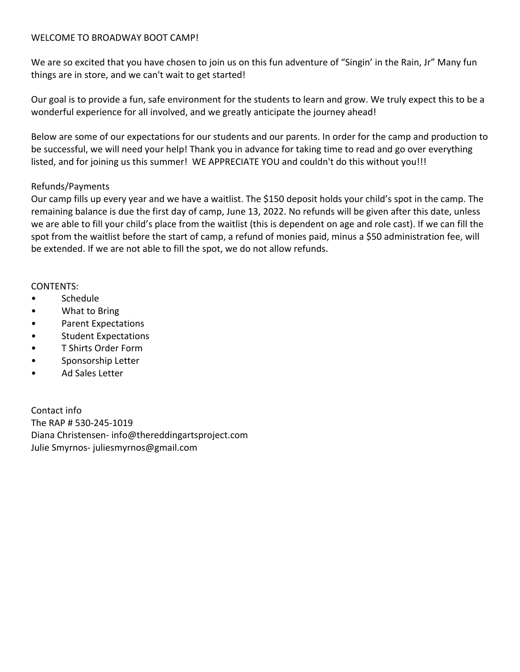#### WELCOME TO BROADWAY BOOT CAMP!

We are so excited that you have chosen to join us on this fun adventure of "Singin' in the Rain, Jr" Many fun things are in store, and we can't wait to get started!

Our goal is to provide a fun, safe environment for the students to learn and grow. We truly expect this to be a wonderful experience for all involved, and we greatly anticipate the journey ahead!

Below are some of our expectations for our students and our parents. In order for the camp and production to be successful, we will need your help! Thank you in advance for taking time to read and go over everything listed, and for joining us this summer! WE APPRECIATE YOU and couldn't do this without you!!!

#### Refunds/Payments

Our camp fills up every year and we have a waitlist. The \$150 deposit holds your child's spot in the camp. The remaining balance is due the first day of camp, June 13, 2022. No refunds will be given after this date, unless we are able to fill your child's place from the waitlist (this is dependent on age and role cast). If we can fill the spot from the waitlist before the start of camp, a refund of monies paid, minus a \$50 administration fee, will be extended. If we are not able to fill the spot, we do not allow refunds.

#### CONTENTS:

- Schedule
- What to Bring
- Parent Expectations
- Student Expectations
- T Shirts Order Form
- Sponsorship Letter
- Ad Sales Letter

Contact info The RAP # 530-245-1019 Diana Christensen- info@thereddingartsproject.com Julie Smyrnos- juliesmyrnos@gmail.com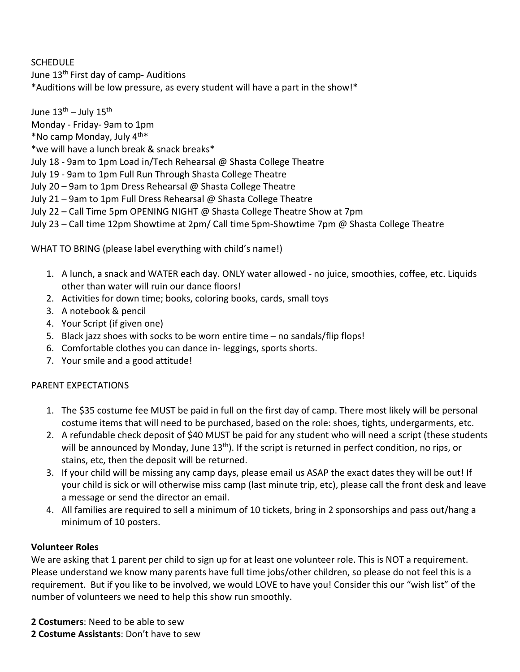# SCHEDULE

June 13<sup>th</sup> First day of camp- Auditions \*Auditions will be low pressure, as every student will have a part in the show!\*

June  $13<sup>th</sup>$  – July  $15<sup>th</sup>$ Monday - Friday- 9am to 1pm  $*$ No camp Monday, July  $4^{th*}$ \*we will have a lunch break & snack breaks\* July 18 - 9am to 1pm Load in/Tech Rehearsal @ Shasta College Theatre July 19 - 9am to 1pm Full Run Through Shasta College Theatre July 20 – 9am to 1pm Dress Rehearsal @ Shasta College Theatre July 21 – 9am to 1pm Full Dress Rehearsal @ Shasta College Theatre July 22 – Call Time 5pm OPENING NIGHT @ Shasta College Theatre Show at 7pm July 23 – Call time 12pm Showtime at 2pm/ Call time 5pm-Showtime 7pm @ Shasta College Theatre

WHAT TO BRING (please label everything with child's name!)

- 1. A lunch, a snack and WATER each day. ONLY water allowed no juice, smoothies, coffee, etc. Liquids other than water will ruin our dance floors!
- 2. Activities for down time; books, coloring books, cards, small toys
- 3. A notebook & pencil
- 4. Your Script (if given one)
- 5. Black jazz shoes with socks to be worn entire time no sandals/flip flops!
- 6. Comfortable clothes you can dance in- leggings, sports shorts.
- 7. Your smile and a good attitude!

## PARENT EXPECTATIONS

- 1. The \$35 costume fee MUST be paid in full on the first day of camp. There most likely will be personal costume items that will need to be purchased, based on the role: shoes, tights, undergarments, etc.
- 2. A refundable check deposit of \$40 MUST be paid for any student who will need a script (these students will be announced by Monday, June 13<sup>th</sup>). If the script is returned in perfect condition, no rips, or stains, etc, then the deposit will be returned.
- 3. If your child will be missing any camp days, please email us ASAP the exact dates they will be out! If your child is sick or will otherwise miss camp (last minute trip, etc), please call the front desk and leave a message or send the director an email.
- 4. All families are required to sell a minimum of 10 tickets, bring in 2 sponsorships and pass out/hang a minimum of 10 posters.

## **Volunteer Roles**

We are asking that 1 parent per child to sign up for at least one volunteer role. This is NOT a requirement. Please understand we know many parents have full time jobs/other children, so please do not feel this is a requirement. But if you like to be involved, we would LOVE to have you! Consider this our "wish list" of the number of volunteers we need to help this show run smoothly.

**2 Costumers**: Need to be able to sew **2 Costume Assistants**: Don't have to sew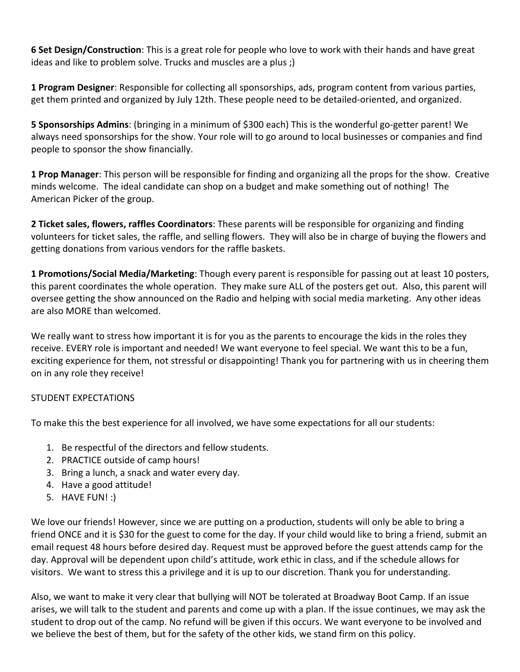**6 Set Design/Construction**: This is a great role for people who love to work with their hands and have great ideas and like to problem solve. Trucks and muscles are a plus ;)

**1 Program Designer**: Responsible for collecting all sponsorships, ads, program content from various parties, get them printed and organized by July 12th. These people need to be detailed-oriented, and organized.

**5 Sponsorships Admins**: (bringing in a minimum of \$300 each) This is the wonderful go-getter parent! We always need sponsorships for the show. Your role will to go around to local businesses or companies and find people to sponsor the show financially.

**1 Prop Manager**: This person will be responsible for finding and organizing all the props for the show. Creative minds welcome. The ideal candidate can shop on a budget and make something out of nothing! The American Picker of the group.

**2 Ticket sales, flowers, raffles Coordinators**: These parents will be responsible for organizing and finding volunteers for ticket sales, the raffle, and selling flowers. They will also be in charge of buying the flowers and getting donations from various vendors for the raffle baskets.

**1 Promotions/Social Media/Marketing**: Though every parent is responsible for passing out at least 10 posters, this parent coordinates the whole operation. They make sure ALL of the posters get out. Also, this parent will oversee getting the show announced on the Radio and helping with social media marketing. Any other ideas are also MORE than welcomed.

We really want to stress how important it is for you as the parents to encourage the kids in the roles they receive. EVERY role is important and needed! We want everyone to feel special. We want this to be a fun, exciting experience for them, not stressful or disappointing! Thank you for partnering with us in cheering them on in any role they receive!

## STUDENT EXPECTATIONS

To make this the best experience for all involved, we have some expectations for all our students:

- 1. Be respectful of the directors and fellow students.
- 2. PRACTICE outside of camp hours!
- 3. Bring a lunch, a snack and water every day.
- 4. Have a good attitude!
- 5. HAVE FUN! :)

We love our friends! However, since we are putting on a production, students will only be able to bring a friend ONCE and it is \$30 for the guest to come for the day. If your child would like to bring a friend, submit an email request 48 hours before desired day. Request must be approved before the guest attends camp for the day. Approval will be dependent upon child's attitude, work ethic in class, and if the schedule allows for visitors. We want to stress this a privilege and it is up to our discretion. Thank you for understanding.

Also, we want to make it very clear that bullying will NOT be tolerated at Broadway Boot Camp. If an issue arises, we will talk to the student and parents and come up with a plan. If the issue continues, we may ask the student to drop out of the camp. No refund will be given if this occurs. We want everyone to be involved and we believe the best of them, but for the safety of the other kids, we stand firm on this policy.